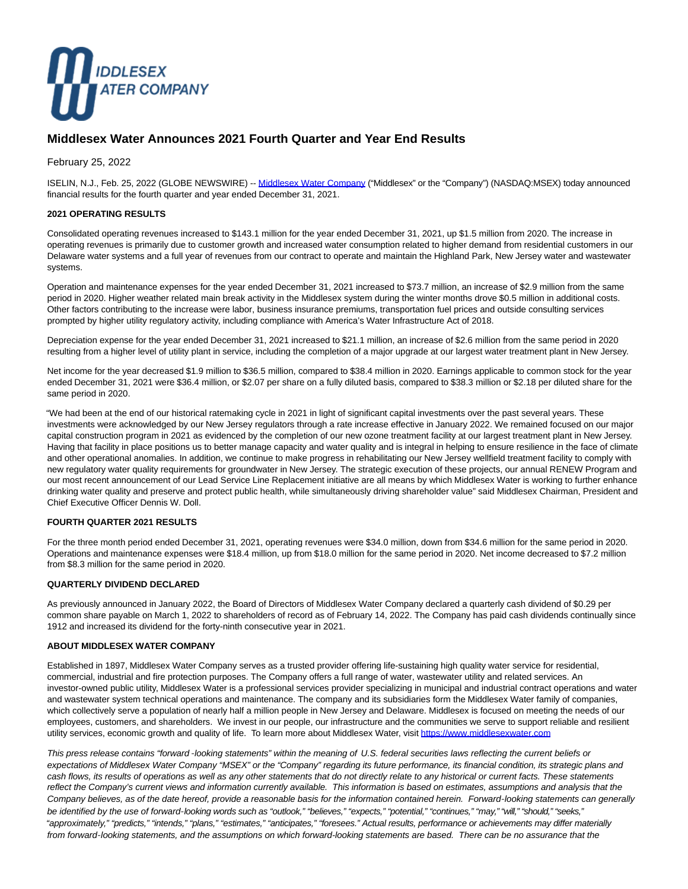

# **Middlesex Water Announces 2021 Fourth Quarter and Year End Results**

February 25, 2022

ISELIN, N.J., Feb. 25, 2022 (GLOBE NEWSWIRE) -[- Middlesex Water Company \(](https://www.globenewswire.com/Tracker?data=4fw-VwtDNTNHg2iLVLz8caTPt1zOg9w5StpvJhy9FI6Uwl6rVrL9vaMbtxHPR2dWOuXHpXRkMdsDXav8cF66JWcwEiP0R5WgbOCkOjGzYBo=)"Middlesex" or the "Company") (NASDAQ:MSEX) today announced financial results for the fourth quarter and year ended December 31, 2021.

### **2021 OPERATING RESULTS**

Consolidated operating revenues increased to \$143.1 million for the year ended December 31, 2021, up \$1.5 million from 2020. The increase in operating revenues is primarily due to customer growth and increased water consumption related to higher demand from residential customers in our Delaware water systems and a full year of revenues from our contract to operate and maintain the Highland Park, New Jersey water and wastewater systems.

Operation and maintenance expenses for the year ended December 31, 2021 increased to \$73.7 million, an increase of \$2.9 million from the same period in 2020. Higher weather related main break activity in the Middlesex system during the winter months drove \$0.5 million in additional costs. Other factors contributing to the increase were labor, business insurance premiums, transportation fuel prices and outside consulting services prompted by higher utility regulatory activity, including compliance with America's Water Infrastructure Act of 2018.

Depreciation expense for the year ended December 31, 2021 increased to \$21.1 million, an increase of \$2.6 million from the same period in 2020 resulting from a higher level of utility plant in service, including the completion of a major upgrade at our largest water treatment plant in New Jersey.

Net income for the year decreased \$1.9 million to \$36.5 million, compared to \$38.4 million in 2020. Earnings applicable to common stock for the year ended December 31, 2021 were \$36.4 million, or \$2.07 per share on a fully diluted basis, compared to \$38.3 million or \$2.18 per diluted share for the same period in 2020.

"We had been at the end of our historical ratemaking cycle in 2021 in light of significant capital investments over the past several years. These investments were acknowledged by our New Jersey regulators through a rate increase effective in January 2022. We remained focused on our major capital construction program in 2021 as evidenced by the completion of our new ozone treatment facility at our largest treatment plant in New Jersey. Having that facility in place positions us to better manage capacity and water quality and is integral in helping to ensure resilience in the face of climate and other operational anomalies. In addition, we continue to make progress in rehabilitating our New Jersey wellfield treatment facility to comply with new regulatory water quality requirements for groundwater in New Jersey. The strategic execution of these projects, our annual RENEW Program and our most recent announcement of our Lead Service Line Replacement initiative are all means by which Middlesex Water is working to further enhance drinking water quality and preserve and protect public health, while simultaneously driving shareholder value" said Middlesex Chairman, President and Chief Executive Officer Dennis W. Doll.

### **FOURTH QUARTER 2021 RESULTS**

For the three month period ended December 31, 2021, operating revenues were \$34.0 million, down from \$34.6 million for the same period in 2020. Operations and maintenance expenses were \$18.4 million, up from \$18.0 million for the same period in 2020. Net income decreased to \$7.2 million from \$8.3 million for the same period in 2020.

### **QUARTERLY DIVIDEND DECLARED**

As previously announced in January 2022, the Board of Directors of Middlesex Water Company declared a quarterly cash dividend of \$0.29 per common share payable on March 1, 2022 to shareholders of record as of February 14, 2022. The Company has paid cash dividends continually since 1912 and increased its dividend for the forty-ninth consecutive year in 2021.

#### **ABOUT MIDDLESEX WATER COMPANY**

Established in 1897, Middlesex Water Company serves as a trusted provider offering life-sustaining high quality water service for residential, commercial, industrial and fire protection purposes. The Company offers a full range of water, wastewater utility and related services. An investor-owned public utility, Middlesex Water is a professional services provider specializing in municipal and industrial contract operations and water and wastewater system technical operations and maintenance. The company and its subsidiaries form the Middlesex Water family of companies, which collectively serve a population of nearly half a million people in New Jersey and Delaware. Middlesex is focused on meeting the needs of our employees, customers, and shareholders. We invest in our people, our infrastructure and the communities we serve to support reliable and resilient utility services, economic growth and quality of life. To learn more about Middlesex Water, visit [https://www.middlesexwater.com](https://www.globenewswire.com/Tracker?data=hg3RBa9FhvbIr3FR8lYJIBEW2-FO6SY6SWW8NxIssRxTavq8c4MkcInuSw6xwTFlkZq34wsGB1aHX6S6nLp3vg17FmBY3lYCiylSt2dJXiZG2IdlICulGj-tnoYcqBdM)

This press release contains "forward *-*looking statements" within the meaning of U.S. federal securities laws reflecting the current beliefs or expectations of Middlesex Water Company "MSEX" or the "Company" regarding its future performance, its financial condition, its strategic plans and cash flows, its results of operations as well as any other statements that do not directly relate to any historical or current facts. These statements reflect the Company's current views and information currently available. This information is based on estimates, assumptions and analysis that the Company believes, as of the date hereof, provide a reasonable basis for the information contained herein. Forward*-*looking statements can generally be identified by the use of forward-looking words such as "outlook," "believes," "expects," "potential," "continues," "may," "will," "should," "seeks," "approximately," "predicts," "intends," "plans," "estimates," "anticipates," "foresees." Actual results, performance or achievements may differ materially from forward*-*looking statements, and the assumptions on which forward-looking statements are based. There can be no assurance that the